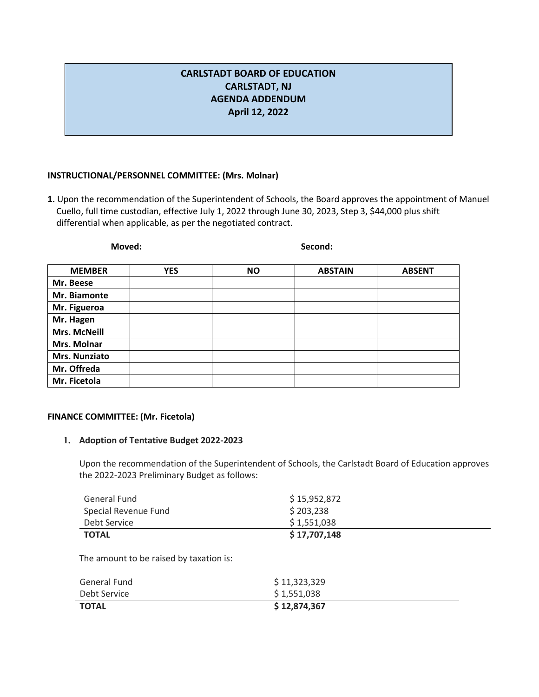## **CARLSTADT BOARD OF EDUCATION CARLSTADT, NJ AGENDA ADDENDUM April 12, 2022**

## **INSTRUCTIONAL/PERSONNEL COMMITTEE: (Mrs. Molnar)**

**1.** Upon the recommendation of the Superintendent of Schools, the Board approves the appointment of Manuel Cuello, full time custodian, effective July 1, 2022 through June 30, 2023, Step 3, \$44,000 plus shift differential when applicable, as per the negotiated contract.

| <b>MEMBER</b>       | <b>YES</b> | <b>NO</b> | <b>ABSTAIN</b> | <b>ABSENT</b> |
|---------------------|------------|-----------|----------------|---------------|
| Mr. Beese           |            |           |                |               |
| Mr. Biamonte        |            |           |                |               |
| Mr. Figueroa        |            |           |                |               |
| Mr. Hagen           |            |           |                |               |
| <b>Mrs. McNeill</b> |            |           |                |               |
| Mrs. Molnar         |            |           |                |               |
| Mrs. Nunziato       |            |           |                |               |
| Mr. Offreda         |            |           |                |               |
| Mr. Ficetola        |            |           |                |               |

**Moved: Second:**

## **FINANCE COMMITTEE: (Mr. Ficetola)**

## **1. Adoption of Tentative Budget 2022-2023**

Upon the recommendation of the Superintendent of Schools, the Carlstadt Board of Education approves the 2022-2023 Preliminary Budget as follows:

| General Fund         | \$15,952,872 |
|----------------------|--------------|
| Special Revenue Fund | \$203,238    |
| Debt Service         | \$1,551,038  |
| <b>TOTAL</b>         | \$17,707,148 |

The amount to be raised by taxation is:

| General Fund | \$11,323,329 |
|--------------|--------------|
| Debt Service | \$1,551,038  |
| <b>TOTAL</b> | \$12,874,367 |